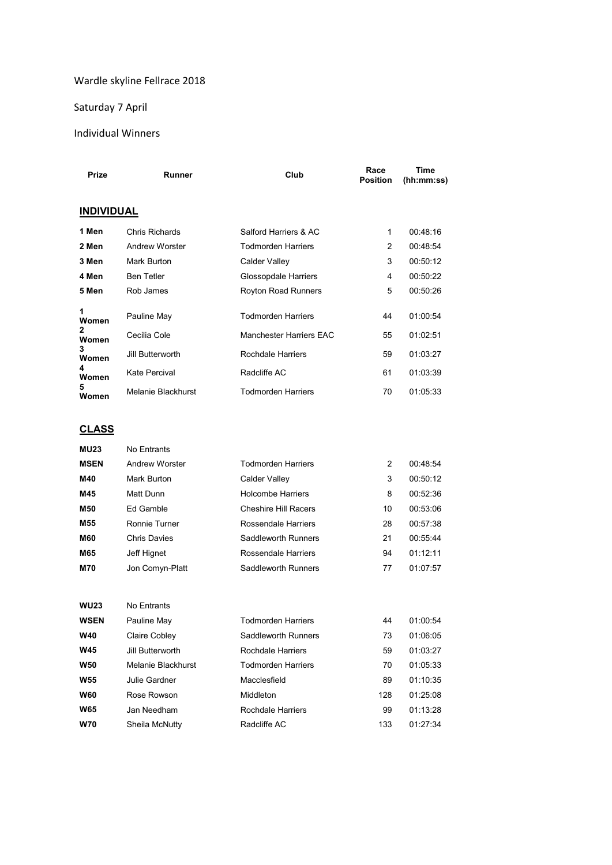## Wardle skyline Fellrace 2018

## Saturday 7 April

#### Individual Winners

| <b>Prize</b>          | <b>Runner</b>      | Club                       | Race<br><b>Position</b> | <b>Time</b><br>(hh:mm:ss) |  |
|-----------------------|--------------------|----------------------------|-------------------------|---------------------------|--|
| <b>INDIVIDUAL</b>     |                    |                            |                         |                           |  |
| 1 Men                 | Chris Richards     | Salford Harriers & AC      | 1                       | 00:48:16                  |  |
| 2 Men                 | Andrew Worster     | <b>Todmorden Harriers</b>  | 2                       | 00:48:54                  |  |
| 3 Men                 | Mark Burton        | Calder Valley              | 3                       | 00:50:12                  |  |
| 4 Men                 | <b>Ben Tetler</b>  | Glossopdale Harriers       | 4                       | 00:50:22                  |  |
| 5 Men                 | Rob James          | <b>Royton Road Runners</b> | 5                       | 00:50:26                  |  |
| 1<br>Women            | Pauline May        | <b>Todmorden Harriers</b>  | 44                      | 01:00:54                  |  |
| $\mathbf{2}$<br>Women | Cecilia Cole       | Manchester Harriers EAC    | 55                      | 01:02:51                  |  |
| 3<br>Women            | Jill Butterworth   | Rochdale Harriers          | 59                      | 01:03:27                  |  |
| 4<br>Women            | Kate Percival      | Radcliffe AC               | 61                      | 01:03:39                  |  |
| 5<br>Women            | Melanie Blackhurst | <b>Todmorden Harriers</b>  | 70                      | 01:05:33                  |  |

## **CLASS**

| <b>MU23</b> | No Entrants      |                             |    |          |
|-------------|------------------|-----------------------------|----|----------|
| <b>MSEN</b> | Andrew Worster   | <b>Todmorden Harriers</b>   | 2  | 00:48:54 |
| M40         | Mark Burton      | Calder Valley               | 3  | 00:50:12 |
| M45         | Matt Dunn        | <b>Holcombe Harriers</b>    | 8  | 00:52:36 |
| M50         | <b>Ed Gamble</b> | <b>Cheshire Hill Racers</b> | 10 | 00:53:06 |
| M55         | Ronnie Turner    | Rossendale Harriers         | 28 | 00:57:38 |
| <b>M60</b>  | Chris Davies     | Saddleworth Runners         | 21 | 00:55:44 |
| M65         | Jeff Hignet      | Rossendale Harriers         | 94 | 01:12:11 |
| <b>M70</b>  | Jon Comyn-Platt  | Saddleworth Runners         | 77 | 01:07:57 |
|             |                  |                             |    |          |

| <b>WU23</b> | No Entrants        |                           |     |          |
|-------------|--------------------|---------------------------|-----|----------|
| <b>WSEN</b> | Pauline May        | <b>Todmorden Harriers</b> | 44  | 01:00:54 |
| <b>W40</b>  | Claire Cobley      | Saddleworth Runners       | 73  | 01:06:05 |
| <b>W45</b>  | Jill Butterworth   | Rochdale Harriers         | 59  | 01:03:27 |
| <b>W50</b>  | Melanie Blackhurst | <b>Todmorden Harriers</b> | 70  | 01:05:33 |
| <b>W55</b>  | Julie Gardner      | Macclesfield              | 89  | 01:10:35 |
| <b>W60</b>  | Rose Rowson        | Middleton                 | 128 | 01:25:08 |
| <b>W65</b>  | Jan Needham        | Rochdale Harriers         | 99  | 01:13:28 |
| <b>W70</b>  | Sheila McNutty     | Radcliffe AC              | 133 | 01.27.34 |
|             |                    |                           |     |          |